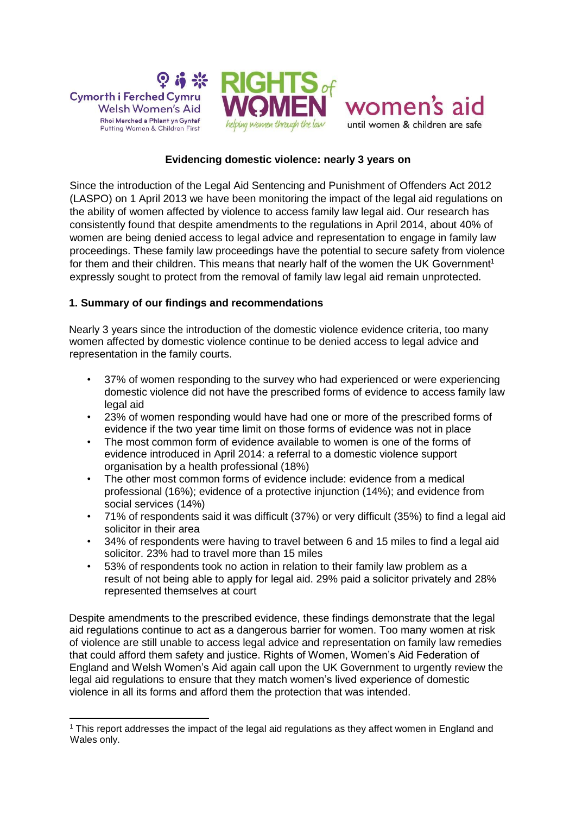





**Evidencing domestic violence: nearly 3 years on**

Since the introduction of the Legal Aid Sentencing and Punishment of Offenders Act 2012 (LASPO) on 1 April 2013 we have been monitoring the impact of the legal aid regulations on the ability of women affected by violence to access family law legal aid. Our research has consistently found that despite amendments to the regulations in April 2014, about 40% of women are being denied access to legal advice and representation to engage in family law proceedings. These family law proceedings have the potential to secure safety from violence for them and their children. This means that nearly half of the women the UK Government<sup>1</sup> expressly sought to protect from the removal of family law legal aid remain unprotected.

# **1. Summary of our findings and recommendations**

Nearly 3 years since the introduction of the domestic violence evidence criteria, too many women affected by domestic violence continue to be denied access to legal advice and representation in the family courts.

- 37% of women responding to the survey who had experienced or were experiencing domestic violence did not have the prescribed forms of evidence to access family law legal aid
- 23% of women responding would have had one or more of the prescribed forms of evidence if the two year time limit on those forms of evidence was not in place
- The most common form of evidence available to women is one of the forms of evidence introduced in April 2014: a referral to a domestic violence support organisation by a health professional (18%)
- The other most common forms of evidence include: evidence from a medical professional (16%); evidence of a protective injunction (14%); and evidence from social services (14%)
- 71% of respondents said it was difficult (37%) or very difficult (35%) to find a legal aid solicitor in their area
- 34% of respondents were having to travel between 6 and 15 miles to find a legal aid solicitor. 23% had to travel more than 15 miles
- 53% of respondents took no action in relation to their family law problem as a result of not being able to apply for legal aid. 29% paid a solicitor privately and 28% represented themselves at court

Despite amendments to the prescribed evidence, these findings demonstrate that the legal aid regulations continue to act as a dangerous barrier for women. Too many women at risk of violence are still unable to access legal advice and representation on family law remedies that could afford them safety and justice. Rights of Women, Women's Aid Federation of England and Welsh Women's Aid again call upon the UK Government to urgently review the legal aid regulations to ensure that they match women's lived experience of domestic violence in all its forms and afford them the protection that was intended.

<sup>-</sup><sup>1</sup> This report addresses the impact of the legal aid regulations as they affect women in England and Wales only.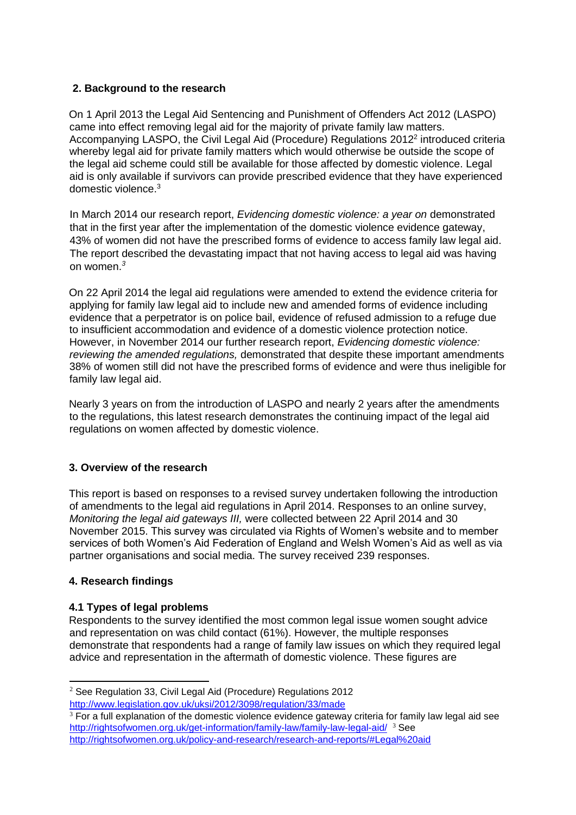# **2. Background to the research**

On 1 April 2013 the Legal Aid Sentencing and Punishment of Offenders Act 2012 (LASPO) came into effect removing legal aid for the majority of private family law matters. Accompanying LASPO, the Civil Legal Aid (Procedure) Regulations 2012<sup>2</sup> introduced criteria whereby legal aid for private family matters which would otherwise be outside the scope of the legal aid scheme could still be available for those affected by domestic violence. Legal aid is only available if survivors can provide prescribed evidence that they have experienced domestic violence.<sup>3</sup>

In March 2014 our research report, *Evidencing domestic violence: a year on* demonstrated that in the first year after the implementation of the domestic violence evidence gateway, 43% of women did not have the prescribed forms of evidence to access family law legal aid. The report described the devastating impact that not having access to legal aid was having on women.*<sup>3</sup>*

On 22 April 2014 the legal aid regulations were amended to extend the evidence criteria for applying for family law legal aid to include new and amended forms of evidence including evidence that a perpetrator is on police bail, evidence of refused admission to a refuge due to insufficient accommodation and evidence of a domestic violence protection notice. However, in November 2014 our further research report, *Evidencing domestic violence: reviewing the amended regulations,* demonstrated that despite these important amendments 38% of women still did not have the prescribed forms of evidence and were thus ineligible for family law legal aid.

Nearly 3 years on from the introduction of LASPO and nearly 2 years after the amendments to the regulations, this latest research demonstrates the continuing impact of the legal aid regulations on women affected by domestic violence.

# **3. Overview of the research**

This report is based on responses to a revised survey undertaken following the introduction of amendments to the legal aid regulations in April 2014. Responses to an online survey, *Monitoring the legal aid gateways III,* were collected between 22 April 2014 and 30 November 2015. This survey was circulated via Rights of Women's website and to member services of both Women's Aid Federation of England and Welsh Women's Aid as well as via partner organisations and social media. The survey received 239 responses.

## **4. Research findings**

-

## **4.1 Types of legal problems**

Respondents to the survey identified the most common legal issue women sought advice and representation on was child contact (61%). However, the multiple responses demonstrate that respondents had a range of family law issues on which they required legal advice and representation in the aftermath of domestic violence. These figures are

<sup>2</sup> See Regulation 33, Civil Legal Aid (Procedure) Regulations 2012 <http://www.legislation.gov.uk/uksi/2012/3098/regulation/33/made>

<sup>&</sup>lt;sup>3</sup> For a full explanation of the domestic violence evidence gateway criteria for family law legal aid see <http://rightsofwomen.org.uk/get-information/family-law/family-law-legal-aid/> <sup>3</sup> See <http://rightsofwomen.org.uk/policy-and-research/research-and-reports/#Legal%20aid>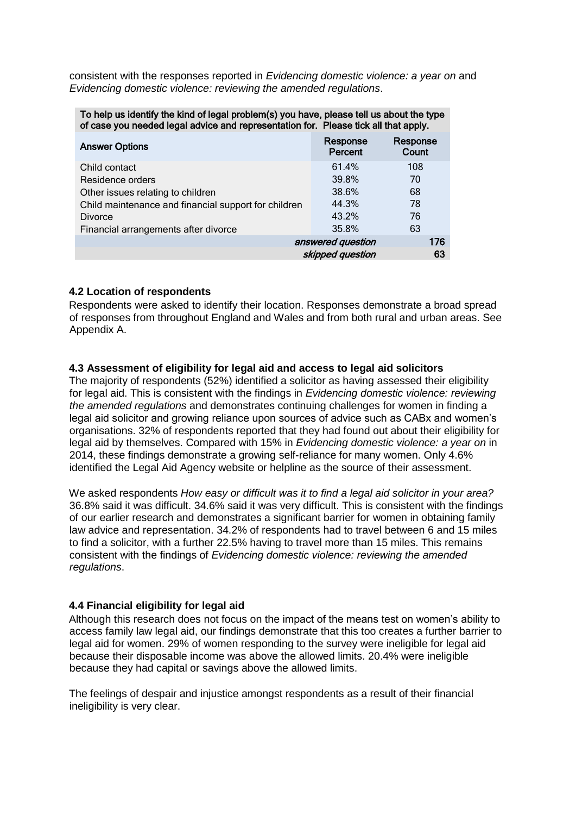consistent with the responses reported in *Evidencing domestic violence: a year on* and *Evidencing domestic violence: reviewing the amended regulations*.

To help us identify the kind of legal problem(s) you have, please tell us about the type of case you needed legal advice and representation for. Please tick all that apply.

| <b>Answer Options</b>                                | Response<br>Percent | Response<br>Count |
|------------------------------------------------------|---------------------|-------------------|
| Child contact                                        | 61.4%               | 108               |
| Residence orders                                     | 39.8%               | 70                |
| Other issues relating to children                    | 38.6%               | 68                |
| Child maintenance and financial support for children | 44.3%               | 78                |
| <b>Divorce</b>                                       | 43.2%               | 76                |
| Financial arrangements after divorce                 | 35.8%               | 63                |
|                                                      | answered question   | 176               |
|                                                      | skipped question    | 63                |

## **4.2 Location of respondents**

Respondents were asked to identify their location. Responses demonstrate a broad spread of responses from throughout England and Wales and from both rural and urban areas. See Appendix A.

## **4.3 Assessment of eligibility for legal aid and access to legal aid solicitors**

The majority of respondents (52%) identified a solicitor as having assessed their eligibility for legal aid. This is consistent with the findings in *Evidencing domestic violence: reviewing the amended regulations* and demonstrates continuing challenges for women in finding a legal aid solicitor and growing reliance upon sources of advice such as CABx and women's organisations. 32% of respondents reported that they had found out about their eligibility for legal aid by themselves. Compared with 15% in *Evidencing domestic violence: a year on* in 2014, these findings demonstrate a growing self-reliance for many women. Only 4.6% identified the Legal Aid Agency website or helpline as the source of their assessment.

We asked respondents *How easy or difficult was it to find a legal aid solicitor in your area?* 36.8% said it was difficult. 34.6% said it was very difficult. This is consistent with the findings of our earlier research and demonstrates a significant barrier for women in obtaining family law advice and representation. 34.2% of respondents had to travel between 6 and 15 miles to find a solicitor, with a further 22.5% having to travel more than 15 miles. This remains consistent with the findings of *Evidencing domestic violence: reviewing the amended regulations*.

## **4.4 Financial eligibility for legal aid**

Although this research does not focus on the impact of the means test on women's ability to access family law legal aid, our findings demonstrate that this too creates a further barrier to legal aid for women. 29% of women responding to the survey were ineligible for legal aid because their disposable income was above the allowed limits. 20.4% were ineligible because they had capital or savings above the allowed limits.

The feelings of despair and injustice amongst respondents as a result of their financial ineligibility is very clear.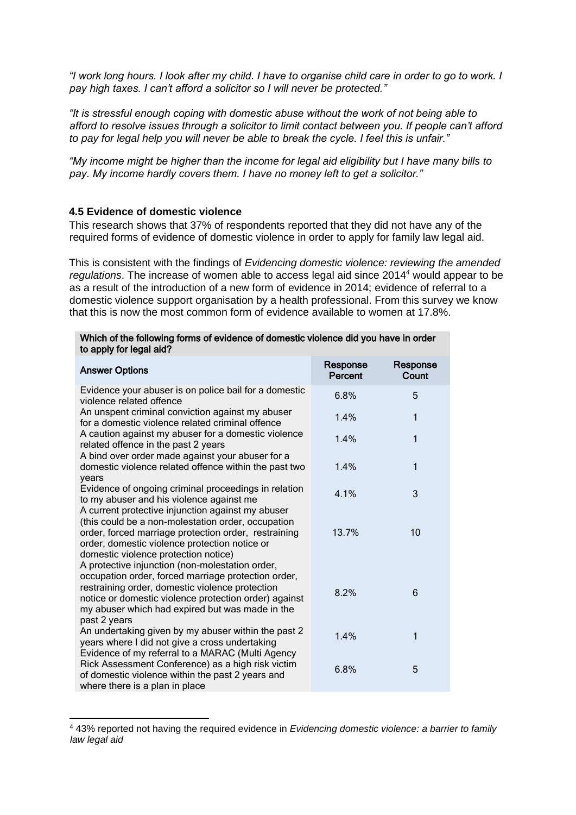*"I work long hours. I look after my child. I have to organise child care in order to go to work. I pay high taxes. I can't afford a solicitor so I will never be protected."*

*"It is stressful enough coping with domestic abuse without the work of not being able to afford to resolve issues through a solicitor to limit contact between you. If people can't afford to pay for legal help you will never be able to break the cycle. I feel this is unfair."*

*"My income might be higher than the income for legal aid eligibility but I have many bills to pay. My income hardly covers them. I have no money left to get a solicitor."*

#### **4.5 Evidence of domestic violence**

-

This research shows that 37% of respondents reported that they did not have any of the required forms of evidence of domestic violence in order to apply for family law legal aid.

This is consistent with the findings of *Evidencing domestic violence: reviewing the amended regulations*. The increase of women able to access legal aid since 2014*<sup>4</sup>* would appear to be as a result of the introduction of a new form of evidence in 2014; evidence of referral to a domestic violence support organisation by a health professional. From this survey we know that this is now the most common form of evidence available to women at 17.8%.

| to apply for legal aid?                                                                                                                                                                                                                                                               |                     |                   |
|---------------------------------------------------------------------------------------------------------------------------------------------------------------------------------------------------------------------------------------------------------------------------------------|---------------------|-------------------|
| <b>Answer Options</b>                                                                                                                                                                                                                                                                 | Response<br>Percent | Response<br>Count |
| Evidence your abuser is on police bail for a domestic<br>violence related offence                                                                                                                                                                                                     | 6.8%                | 5                 |
| An unspent criminal conviction against my abuser<br>for a domestic violence related criminal offence                                                                                                                                                                                  | 1.4%                | 1                 |
| A caution against my abuser for a domestic violence<br>related offence in the past 2 years                                                                                                                                                                                            | 1.4%                | 1                 |
| A bind over order made against your abuser for a<br>domestic violence related offence within the past two<br>years                                                                                                                                                                    | 1.4%                | 1                 |
| Evidence of ongoing criminal proceedings in relation<br>to my abuser and his violence against me<br>A current protective injunction against my abuser                                                                                                                                 | 4.1%                | 3                 |
| (this could be a non-molestation order, occupation<br>order, forced marriage protection order, restraining<br>order, domestic violence protection notice or<br>domestic violence protection notice)                                                                                   | 13.7%               | 10                |
| A protective injunction (non-molestation order,<br>occupation order, forced marriage protection order,<br>restraining order, domestic violence protection<br>notice or domestic violence protection order) against<br>my abuser which had expired but was made in the<br>past 2 years | 8.2%                | 6                 |
| An undertaking given by my abuser within the past 2<br>years where I did not give a cross undertaking<br>Evidence of my referral to a MARAC (Multi Agency                                                                                                                             | 1.4%                | 1                 |
| Rick Assessment Conference) as a high risk victim<br>of domestic violence within the past 2 years and<br>where there is a plan in place                                                                                                                                               | 6.8%                | 5                 |

| Which of the following forms of evidence of domestic violence did you have in order |  |
|-------------------------------------------------------------------------------------|--|
| to apply for legal aid?                                                             |  |

<sup>4</sup> 43% reported not having the required evidence in *Evidencing domestic violence: a barrier to family law legal aid*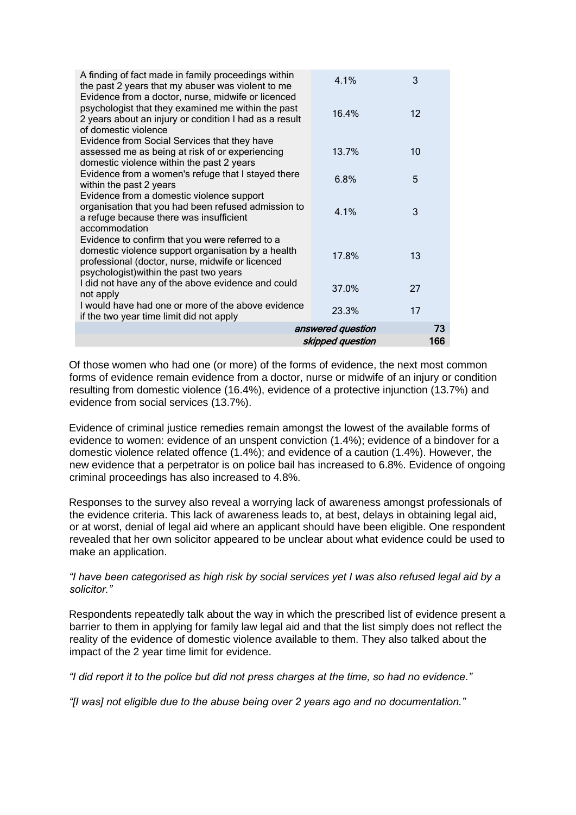| A finding of fact made in family proceedings within<br>the past 2 years that my abuser was violent to me                                                                                             | 4.1%              | 3                 |
|------------------------------------------------------------------------------------------------------------------------------------------------------------------------------------------------------|-------------------|-------------------|
| Evidence from a doctor, nurse, midwife or licenced<br>psychologist that they examined me within the past<br>2 years about an injury or condition I had as a result<br>of domestic violence           | 16.4%             | $12 \overline{ }$ |
| Evidence from Social Services that they have<br>assessed me as being at risk of or experiencing<br>domestic violence within the past 2 years                                                         | 13.7%             | 10                |
| Evidence from a women's refuge that I stayed there<br>within the past 2 years                                                                                                                        | 6.8%              | 5                 |
| Evidence from a domestic violence support<br>organisation that you had been refused admission to<br>a refuge because there was insufficient<br>accommodation                                         | 4.1%              | 3                 |
| Evidence to confirm that you were referred to a<br>domestic violence support organisation by a health<br>professional (doctor, nurse, midwife or licenced<br>psychologist) within the past two years | 17.8%             | 13                |
| I did not have any of the above evidence and could<br>not apply                                                                                                                                      | 37.0%             | 27                |
| I would have had one or more of the above evidence<br>if the two year time limit did not apply                                                                                                       | 23.3%             | 17                |
|                                                                                                                                                                                                      | answered question | 73                |
|                                                                                                                                                                                                      | skipped question  | 166               |

Of those women who had one (or more) of the forms of evidence, the next most common forms of evidence remain evidence from a doctor, nurse or midwife of an injury or condition resulting from domestic violence (16.4%), evidence of a protective injunction (13.7%) and evidence from social services (13.7%).

Evidence of criminal justice remedies remain amongst the lowest of the available forms of evidence to women: evidence of an unspent conviction (1.4%); evidence of a bindover for a domestic violence related offence (1.4%); and evidence of a caution (1.4%). However, the new evidence that a perpetrator is on police bail has increased to 6.8%. Evidence of ongoing criminal proceedings has also increased to 4.8%.

Responses to the survey also reveal a worrying lack of awareness amongst professionals of the evidence criteria. This lack of awareness leads to, at best, delays in obtaining legal aid, or at worst, denial of legal aid where an applicant should have been eligible. One respondent revealed that her own solicitor appeared to be unclear about what evidence could be used to make an application.

## *"I have been categorised as high risk by social services yet I was also refused legal aid by a solicitor."*

Respondents repeatedly talk about the way in which the prescribed list of evidence present a barrier to them in applying for family law legal aid and that the list simply does not reflect the reality of the evidence of domestic violence available to them. They also talked about the impact of the 2 year time limit for evidence.

*"I did report it to the police but did not press charges at the time, so had no evidence."*

*"[I was] not eligible due to the abuse being over 2 years ago and no documentation."*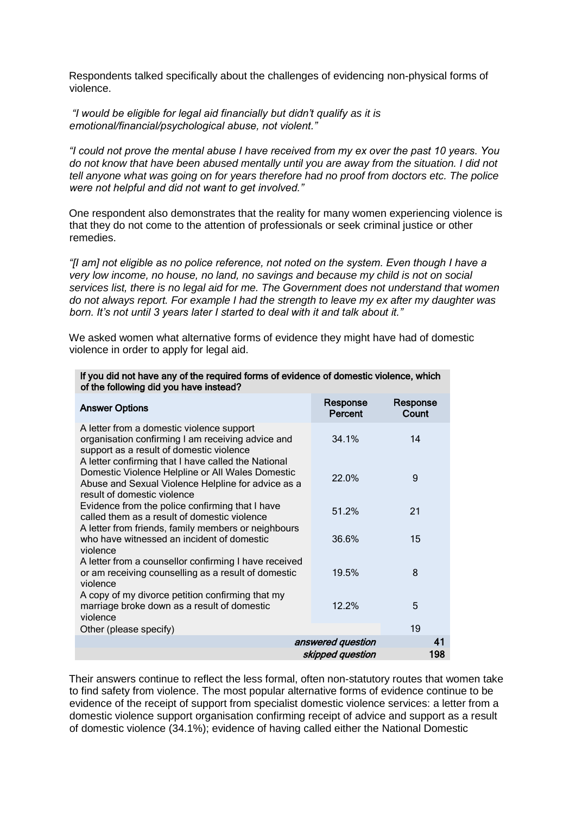Respondents talked specifically about the challenges of evidencing non-physical forms of violence.

*"I would be eligible for legal aid financially but didn't qualify as it is emotional/financial/psychological abuse, not violent."*

*"I could not prove the mental abuse I have received from my ex over the past 10 years. You do not know that have been abused mentally until you are away from the situation. I did not tell anyone what was going on for years therefore had no proof from doctors etc. The police were not helpful and did not want to get involved."*

One respondent also demonstrates that the reality for many women experiencing violence is that they do not come to the attention of professionals or seek criminal justice or other remedies.

*"[I am] not eligible as no police reference, not noted on the system. Even though I have a very low income, no house, no land, no savings and because my child is not on social services list, there is no legal aid for me. The Government does not understand that women do not always report. For example I had the strength to leave my ex after my daughter was born. It's not until 3 years later I started to deal with it and talk about it."*

We asked women what alternative forms of evidence they might have had of domestic violence in order to apply for legal aid.

| of the following aid you have instead?                                                                                                                                                       |                                       |                   |
|----------------------------------------------------------------------------------------------------------------------------------------------------------------------------------------------|---------------------------------------|-------------------|
| <b>Answer Options</b>                                                                                                                                                                        | Response<br>Percent                   | Response<br>Count |
| A letter from a domestic violence support<br>organisation confirming I am receiving advice and<br>support as a result of domestic violence                                                   | 34.1%                                 | 14                |
| A letter confirming that I have called the National<br>Domestic Violence Helpline or All Wales Domestic<br>Abuse and Sexual Violence Helpline for advice as a<br>result of domestic violence | 22.0%                                 | 9                 |
| Evidence from the police confirming that I have<br>called them as a result of domestic violence                                                                                              | 51.2%                                 | 21                |
| A letter from friends, family members or neighbours<br>who have witnessed an incident of domestic<br>violence                                                                                | 36.6%                                 | 15                |
| A letter from a counsellor confirming I have received<br>or am receiving counselling as a result of domestic<br>violence                                                                     | 19.5%                                 | 8                 |
| A copy of my divorce petition confirming that my<br>marriage broke down as a result of domestic<br>violence                                                                                  | 12.2%                                 | 5                 |
| Other (please specify)                                                                                                                                                                       |                                       | 19                |
|                                                                                                                                                                                              | answered question<br>skipped question | 41<br>198         |

#### If you did not have any of the required forms of evidence of domestic violence, which of the following did you have instead?

Their answers continue to reflect the less formal, often non-statutory routes that women take to find safety from violence. The most popular alternative forms of evidence continue to be evidence of the receipt of support from specialist domestic violence services: a letter from a domestic violence support organisation confirming receipt of advice and support as a result of domestic violence (34.1%); evidence of having called either the National Domestic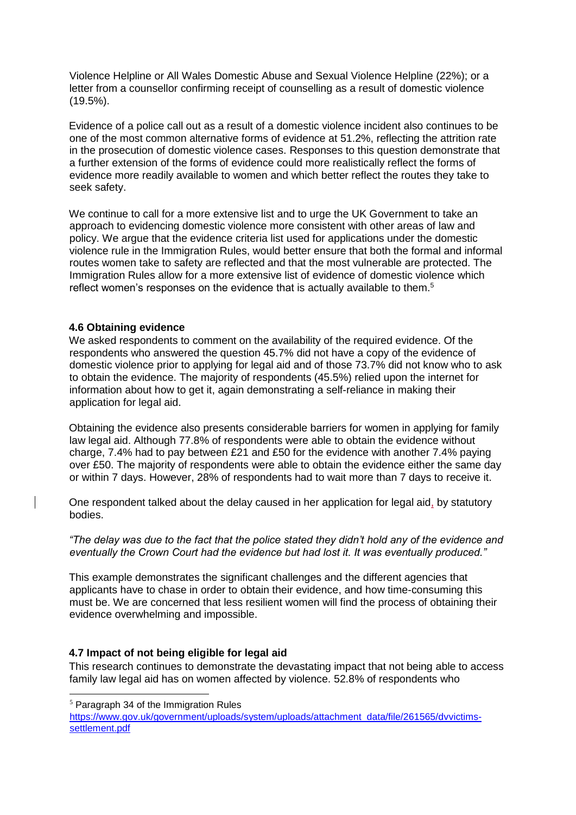Violence Helpline or All Wales Domestic Abuse and Sexual Violence Helpline (22%); or a letter from a counsellor confirming receipt of counselling as a result of domestic violence (19.5%).

Evidence of a police call out as a result of a domestic violence incident also continues to be one of the most common alternative forms of evidence at 51.2%, reflecting the attrition rate in the prosecution of domestic violence cases. Responses to this question demonstrate that a further extension of the forms of evidence could more realistically reflect the forms of evidence more readily available to women and which better reflect the routes they take to seek safety.

We continue to call for a more extensive list and to urge the UK Government to take an approach to evidencing domestic violence more consistent with other areas of law and policy. We argue that the evidence criteria list used for applications under the domestic violence rule in the Immigration Rules, would better ensure that both the formal and informal routes women take to safety are reflected and that the most vulnerable are protected. The Immigration Rules allow for a more extensive list of evidence of domestic violence which reflect women's responses on the evidence that is actually available to them.<sup>5</sup>

## **4.6 Obtaining evidence**

We asked respondents to comment on the availability of the required evidence. Of the respondents who answered the question 45.7% did not have a copy of the evidence of domestic violence prior to applying for legal aid and of those 73.7% did not know who to ask to obtain the evidence. The majority of respondents (45.5%) relied upon the internet for information about how to get it, again demonstrating a self-reliance in making their application for legal aid.

Obtaining the evidence also presents considerable barriers for women in applying for family law legal aid. Although 77.8% of respondents were able to obtain the evidence without charge, 7.4% had to pay between £21 and £50 for the evidence with another 7.4% paying over £50. The majority of respondents were able to obtain the evidence either the same day or within 7 days. However, 28% of respondents had to wait more than 7 days to receive it.

One respondent talked about the delay caused in her application for legal aid, by statutory bodies.

*"The delay was due to the fact that the police stated they didn't hold any of the evidence and eventually the Crown Court had the evidence but had lost it. It was eventually produced."*

This example demonstrates the significant challenges and the different agencies that applicants have to chase in order to obtain their evidence, and how time-consuming this must be. We are concerned that less resilient women will find the process of obtaining their evidence overwhelming and impossible.

## **4.7 Impact of not being eligible for legal aid**

This research continues to demonstrate the devastating impact that not being able to access family law legal aid has on women affected by violence. 52.8% of respondents who

-

<sup>5</sup> Paragraph 34 of the Immigration Rules

[https://www.gov.uk/government/uploads/system/uploads/attachment\\_data/file/261565/dvvictims](https://www.gov.uk/government/uploads/system/uploads/attachment_data/file/261565/dv-victims-settlement.pdf)[settlement.pdf](https://www.gov.uk/government/uploads/system/uploads/attachment_data/file/261565/dv-victims-settlement.pdf)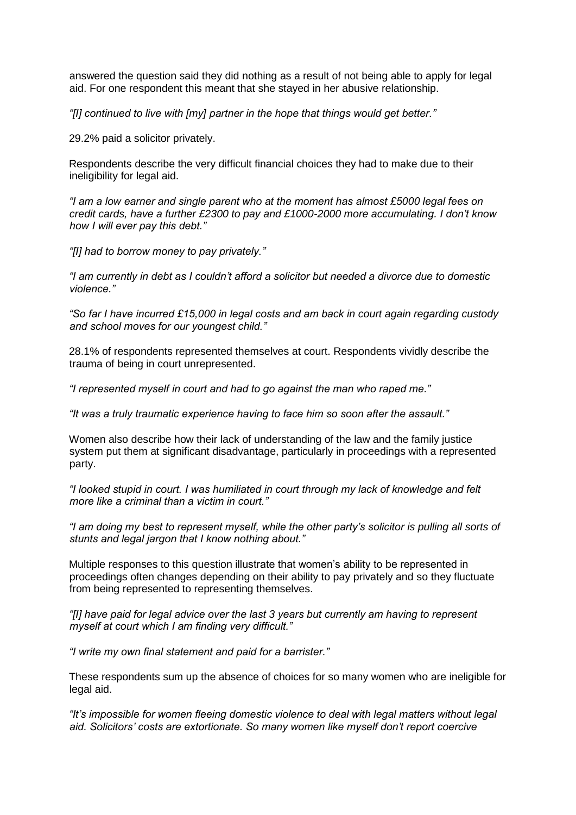answered the question said they did nothing as a result of not being able to apply for legal aid. For one respondent this meant that she stayed in her abusive relationship.

*"[I] continued to live with [my] partner in the hope that things would get better."*

29.2% paid a solicitor privately.

Respondents describe the very difficult financial choices they had to make due to their ineligibility for legal aid.

*"I am a low earner and single parent who at the moment has almost £5000 legal fees on credit cards, have a further £2300 to pay and £1000-2000 more accumulating. I don't know how I will ever pay this debt."*

*"[I] had to borrow money to pay privately."*

*"I am currently in debt as I couldn't afford a solicitor but needed a divorce due to domestic violence."*

*"So far I have incurred £15,000 in legal costs and am back in court again regarding custody and school moves for our youngest child."*

28.1% of respondents represented themselves at court. Respondents vividly describe the trauma of being in court unrepresented.

*"I represented myself in court and had to go against the man who raped me."*

*"It was a truly traumatic experience having to face him so soon after the assault."*

Women also describe how their lack of understanding of the law and the family justice system put them at significant disadvantage, particularly in proceedings with a represented party.

*"I looked stupid in court. I was humiliated in court through my lack of knowledge and felt more like a criminal than a victim in court."*

*"I am doing my best to represent myself, while the other party's solicitor is pulling all sorts of stunts and legal jargon that I know nothing about."*

Multiple responses to this question illustrate that women's ability to be represented in proceedings often changes depending on their ability to pay privately and so they fluctuate from being represented to representing themselves.

*"[I] have paid for legal advice over the last 3 years but currently am having to represent myself at court which I am finding very difficult."*

*"I write my own final statement and paid for a barrister."*

These respondents sum up the absence of choices for so many women who are ineligible for legal aid.

*"It's impossible for women fleeing domestic violence to deal with legal matters without legal aid. Solicitors' costs are extortionate. So many women like myself don't report coercive*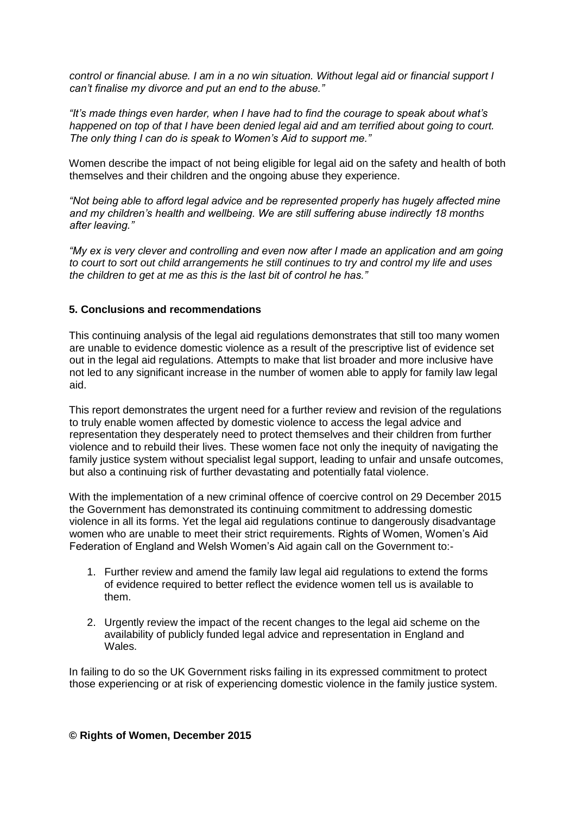*control or financial abuse. I am in a no win situation. Without legal aid or financial support I can't finalise my divorce and put an end to the abuse."*

*"It's made things even harder, when I have had to find the courage to speak about what's happened on top of that I have been denied legal aid and am terrified about going to court. The only thing I can do is speak to Women's Aid to support me."*

Women describe the impact of not being eligible for legal aid on the safety and health of both themselves and their children and the ongoing abuse they experience.

*"Not being able to afford legal advice and be represented properly has hugely affected mine and my children's health and wellbeing. We are still suffering abuse indirectly 18 months after leaving."*

*"My ex is very clever and controlling and even now after I made an application and am going to court to sort out child arrangements he still continues to try and control my life and uses the children to get at me as this is the last bit of control he has."*

## **5. Conclusions and recommendations**

This continuing analysis of the legal aid regulations demonstrates that still too many women are unable to evidence domestic violence as a result of the prescriptive list of evidence set out in the legal aid regulations. Attempts to make that list broader and more inclusive have not led to any significant increase in the number of women able to apply for family law legal aid.

This report demonstrates the urgent need for a further review and revision of the regulations to truly enable women affected by domestic violence to access the legal advice and representation they desperately need to protect themselves and their children from further violence and to rebuild their lives. These women face not only the inequity of navigating the family justice system without specialist legal support, leading to unfair and unsafe outcomes, but also a continuing risk of further devastating and potentially fatal violence.

With the implementation of a new criminal offence of coercive control on 29 December 2015 the Government has demonstrated its continuing commitment to addressing domestic violence in all its forms. Yet the legal aid regulations continue to dangerously disadvantage women who are unable to meet their strict requirements. Rights of Women, Women's Aid Federation of England and Welsh Women's Aid again call on the Government to:-

- 1. Further review and amend the family law legal aid regulations to extend the forms of evidence required to better reflect the evidence women tell us is available to them.
- 2. Urgently review the impact of the recent changes to the legal aid scheme on the availability of publicly funded legal advice and representation in England and Wales.

In failing to do so the UK Government risks failing in its expressed commitment to protect those experiencing or at risk of experiencing domestic violence in the family justice system.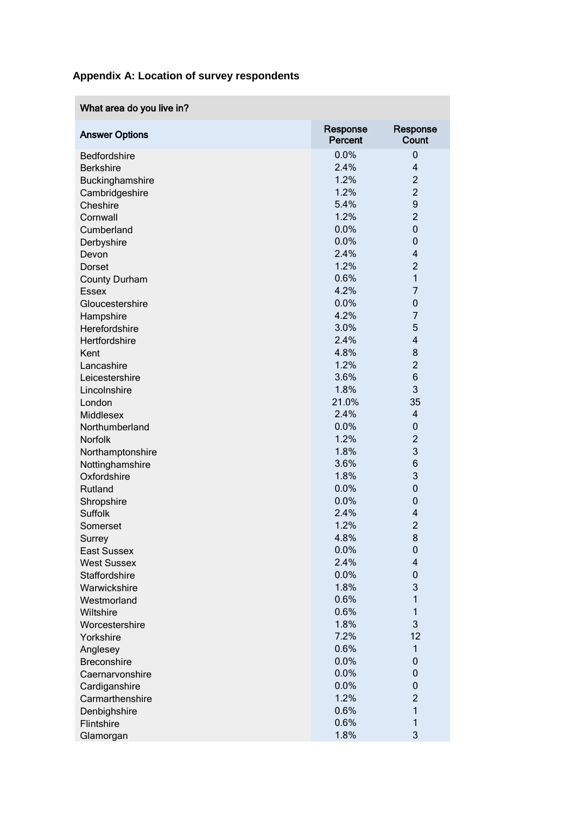# **Appendix A: Location of survey respondents**

| What area do you live in? |                     |                          |
|---------------------------|---------------------|--------------------------|
| <b>Answer Options</b>     | Response<br>Percent | Response<br>Count        |
| Bedfordshire              | 0.0%                | 0                        |
| <b>Berkshire</b>          | 2.4%                | $\overline{\mathbf{4}}$  |
| Buckinghamshire           | 1.2%                | $\overline{c}$           |
| Cambridgeshire            | 1.2%                | $\overline{2}$           |
| Cheshire                  | 5.4%                | 9                        |
| Cornwall                  | 1.2%                | $\overline{2}$           |
| Cumberland                | 0.0%                | $\mathbf 0$              |
| Derbyshire                | 0.0%                | 0                        |
| Devon                     | 2.4%                | 4                        |
| Dorset                    | 1.2%                | $\overline{c}$           |
| <b>County Durham</b>      | 0.6%                | $\mathbf{1}$             |
| <b>Essex</b>              | 4.2%                | 7                        |
| Gloucestershire           | 0.0%                | 0                        |
| Hampshire                 | 4.2%                | 7                        |
| Herefordshire             | 3.0%                | 5                        |
| Hertfordshire             | 2.4%                | 4                        |
| Kent                      | 4.8%                | 8                        |
| Lancashire                | 1.2%                | $\overline{c}$           |
| Leicestershire            | 3.6%                | 6                        |
| Lincolnshire              | 1.8%                | 3                        |
| London                    | 21.0%               | 35                       |
| Middlesex                 | 2.4%                | $\overline{\mathcal{A}}$ |
| Northumberland            | 0.0%                | 0                        |
| Norfolk                   | 1.2%                | $\overline{c}$           |
| Northamptonshire          | 1.8%                | 3                        |
| Nottinghamshire           | 3.6%                | 6                        |
| Oxfordshire               | 1.8%                | 3                        |
| Rutland                   | 0.0%                | 0                        |
| Shropshire                | 0.0%                | 0                        |
| <b>Suffolk</b>            | 2.4%                | 4                        |
| Somerset                  | 1.2%                | $\overline{2}$           |
| Surrey                    | 4.8%                | 8                        |
| <b>East Sussex</b>        | 0.0%                | 0                        |
| <b>West Sussex</b>        | 2.4%                | 4                        |
| Staffordshire             | 0.0%                | 0                        |
| Warwickshire              | 1.8%                | 3                        |
| Westmorland               | 0.6%                | 1                        |
| Wiltshire                 | 0.6%                | $\mathbf{1}$             |
| Worcestershire            | 1.8%                | 3                        |
| Yorkshire                 | 7.2%                | 12                       |
| Anglesey                  | 0.6%                | 1                        |
| <b>Breconshire</b>        | 0.0%                | 0                        |
| Caernarvonshire           | 0.0%                | 0                        |
| Cardiganshire             | 0.0%                | 0                        |
| Carmarthenshire           | 1.2%                | $\overline{c}$           |
| Denbighshire              | 0.6%                | $\mathbf{1}$             |
| Flintshire                | 0.6%                | 1                        |
| Glamorgan                 | 1.8%                | 3                        |